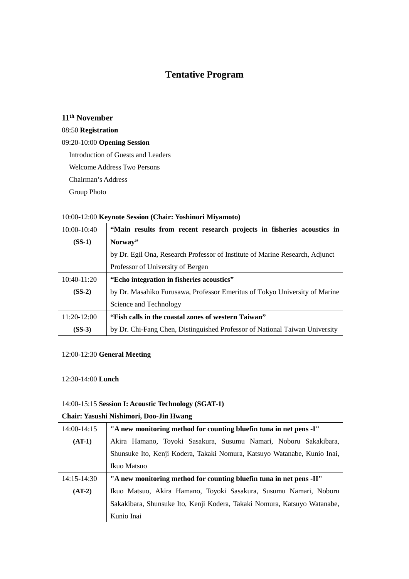# **Tentative Program**

# **11th November**

### 08:50 **Registration**

### 09:20-10:00 **Opening Session**

Introduction of Guests and Leaders

Welcome Address Two Persons

Chairman's Address

Group Photo

### 10:00-12:00 **Keynote Session (Chair: Yoshinori Miyamoto)**

| 10:00-10:40   | "Main results from recent research projects in fisheries acoustics in        |
|---------------|------------------------------------------------------------------------------|
| $(SS-1)$      | Norway"                                                                      |
|               | by Dr. Egil Ona, Research Professor of Institute of Marine Research, Adjunct |
|               | Professor of University of Bergen                                            |
| $10:40-11:20$ | "Echo integration in fisheries acoustics"                                    |
| $(SS-2)$      | by Dr. Masahiko Furusawa, Professor Emeritus of Tokyo University of Marine   |
|               | Science and Technology                                                       |
| $11:20-12:00$ | "Fish calls in the coastal zones of western Taiwan"                          |
| $(SS-3)$      | by Dr. Chi-Fang Chen, Distinguished Professor of National Taiwan University  |

### 12:00-12:30 **General Meeting**

#### 12:30-14:00 **Lunch**

### 14:00-15:15 **Session I: Acoustic Technology (SGAT-1)**

### **Chair: Yasushi Nishimori, Doo-Jin Hwang**

| 14:00-14:15     | "A new monitoring method for counting bluefin tuna in net pens -I"       |
|-----------------|--------------------------------------------------------------------------|
| $(AT-1)$        | Akira Hamano, Toyoki Sasakura, Susumu Namari, Noboru Sakakibara,         |
|                 | Shunsuke Ito, Kenji Kodera, Takaki Nomura, Katsuyo Watanabe, Kunio Inai, |
|                 | Ikuo Matsuo                                                              |
|                 |                                                                          |
| $14:15 - 14:30$ | "A new monitoring method for counting bluefin tuna in net pens -II"      |
| $(AT-2)$        | Ikuo Matsuo, Akira Hamano, Toyoki Sasakura, Susumu Namari, Noboru        |
|                 | Sakakibara, Shunsuke Ito, Kenji Kodera, Takaki Nomura, Katsuyo Watanabe, |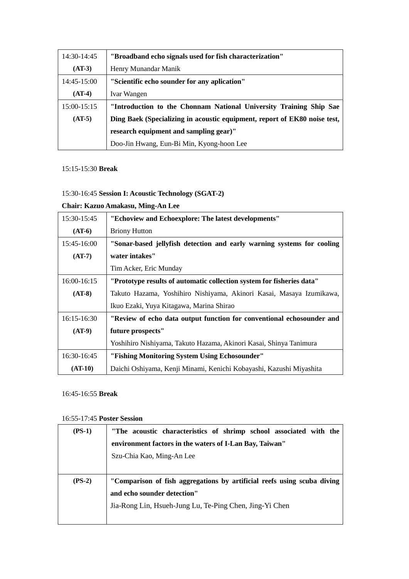| $14:30-14:45$ | "Broadband echo signals used for fish characterization"                   |
|---------------|---------------------------------------------------------------------------|
| $(AT-3)$      | Henry Munandar Manik                                                      |
| 14:45-15:00   | "Scientific echo sounder for any aplication"                              |
| $(AT-4)$      | <b>Ivar Wangen</b>                                                        |
| $15:00-15:15$ | "Introduction to the Chonnam National University Training Ship Sae        |
| $(AT-5)$      | Ding Baek (Specializing in acoustic equipment, report of EK80 noise test, |
|               | research equipment and sampling gear)"                                    |
|               | Doo-Jin Hwang, Eun-Bi Min, Kyong-hoon Lee                                 |

### 15:15-15:30 **Break**

# 15:30-16:45 **Session I: Acoustic Technology (SGAT-2)**

## **Chair: Kazuo Amakasu, Ming-An Lee**

| 15:30-15:45   | "Echoview and Echoexplore: The latest developments"                    |
|---------------|------------------------------------------------------------------------|
| $(AT-6)$      | <b>Briony Hutton</b>                                                   |
| 15:45-16:00   | "Sonar-based jellyfish detection and early warning systems for cooling |
| $(AT-7)$      | water intakes"                                                         |
|               | Tim Acker, Eric Munday                                                 |
| $16:00-16:15$ | "Prototype results of automatic collection system for fisheries data"  |
| $(AT-8)$      | Takuto Hazama, Yoshihiro Nishiyama, Akinori Kasai, Masaya Izumikawa,   |
|               | Ikuo Ezaki, Yuya Kitagawa, Marina Shirao                               |
| $16:15-16:30$ | "Review of echo data output function for conventional echosounder and  |
| $(AT-9)$      | future prospects"                                                      |
|               | Yoshihiro Nishiyama, Takuto Hazama, Akinori Kasai, Shinya Tanimura     |
| 16:30-16:45   | "Fishing Monitoring System Using Echosounder"                          |
| $(AT-10)$     | Daichi Oshiyama, Kenji Minami, Kenichi Kobayashi, Kazushi Miyashita    |

### 16:45-16:55 **Break**

### 16:55-17:45 **Poster Session**

| $(PS-1)$ | "The acoustic characteristics of shrimp school associated with the      |
|----------|-------------------------------------------------------------------------|
|          | environment factors in the waters of I-Lan Bay, Taiwan"                 |
|          | Szu-Chia Kao, Ming-An Lee                                               |
|          |                                                                         |
| $(PS-2)$ | "Comparison of fish aggregations by artificial reefs using scuba diving |
|          | and echo sounder detection"                                             |
|          | Jia-Rong Lin, Hsueh-Jung Lu, Te-Ping Chen, Jing-Yi Chen                 |
|          |                                                                         |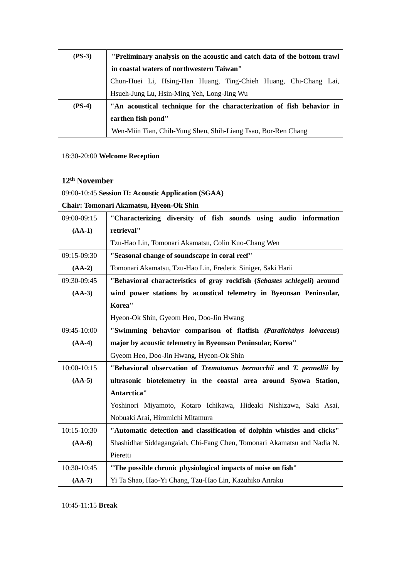| $(PS-3)$ | "Preliminary analysis on the acoustic and catch data of the bottom trawl |
|----------|--------------------------------------------------------------------------|
|          | in coastal waters of northwestern Taiwan"                                |
|          | Chun-Huei Li, Hsing-Han Huang, Ting-Chieh Huang, Chi-Chang Lai,          |
|          | Hsueh-Jung Lu, Hsin-Ming Yeh, Long-Jing Wu                               |
| $(PS-4)$ | "An acoustical technique for the characterization of fish behavior in    |
|          | earthen fish pond"                                                       |
|          | Wen-Miin Tian, Chih-Yung Shen, Shih-Liang Tsao, Bor-Ren Chang            |

# 18:30-20:00 **Welcome Reception**

# **12th November**

# 09:00-10:45 **Session II: Acoustic Application (SGAA)**

## **Chair: Tomonari Akamatsu, Hyeon-Ok Shin**

| 09:00-09:15 | "Characterizing diversity of fish sounds using audio information         |
|-------------|--------------------------------------------------------------------------|
| $(AA-1)$    | retrieval"                                                               |
|             | Tzu-Hao Lin, Tomonari Akamatsu, Colin Kuo-Chang Wen                      |
| 09:15-09:30 | "Seasonal change of soundscape in coral reef"                            |
| $(AA-2)$    | Tomonari Akamatsu, Tzu-Hao Lin, Frederic Siniger, Saki Harii             |
| 09:30-09:45 | "Behavioral characteristics of gray rockfish (Sebastes schlegeli) around |
| $(AA-3)$    | wind power stations by acoustical telemetry in Byeonsan Peninsular,      |
|             | Korea"                                                                   |
|             | Hyeon-Ok Shin, Gyeom Heo, Doo-Jin Hwang                                  |
| 09:45-10:00 | "Swimming behavior comparison of flatfish (Paralichthys loivaceus)       |
| $(AA-4)$    | major by acoustic telemetry in Byeonsan Peninsular, Korea"               |
|             | Gyeom Heo, Doo-Jin Hwang, Hyeon-Ok Shin                                  |
| 10:00-10:15 | "Behavioral observation of Trematomus bernacchii and T. pennellii by     |
| $(AA-5)$    | ultrasonic biotelemetry in the coastal area around Syowa Station,        |
|             | Antarctica"                                                              |
|             | Yoshinori Miyamoto, Kotaro Ichikawa, Hideaki Nishizawa, Saki Asai,       |
|             | Nobuaki Arai, Hiromichi Mitamura                                         |
| 10:15-10:30 | "Automatic detection and classification of dolphin whistles and clicks"  |
| $(AA-6)$    | Shashidhar Siddagangaiah, Chi-Fang Chen, Tomonari Akamatsu and Nadia N.  |
|             | Pieretti                                                                 |
| 10:30-10:45 | "The possible chronic physiological impacts of noise on fish"            |
| $(AA-7)$    | Yi Ta Shao, Hao-Yi Chang, Tzu-Hao Lin, Kazuhiko Anraku                   |

10:45-11:15 **Break**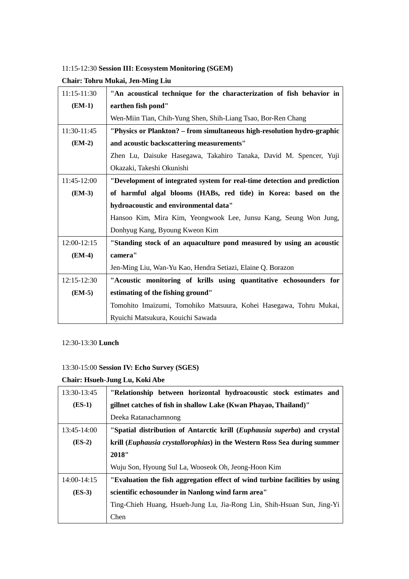## 11:15-12:30 **Session III: Ecosystem Monitoring (SGEM)**

# **Chair: Tohru Mukai, Jen-Ming Liu**

| $11:15-11:30$ | "An acoustical technique for the characterization of fish behavior in    |
|---------------|--------------------------------------------------------------------------|
| $(EM-1)$      | earthen fish pond"                                                       |
|               | Wen-Miin Tian, Chih-Yung Shen, Shih-Liang Tsao, Bor-Ren Chang            |
| 11:30-11:45   | "Physics or Plankton? – from simultaneous high-resolution hydro-graphic  |
| $(EM-2)$      | and acoustic backscattering measurements"                                |
|               | Zhen Lu, Daisuke Hasegawa, Takahiro Tanaka, David M. Spencer, Yuji       |
|               | Okazaki, Takeshi Okunishi                                                |
| 11:45-12:00   | "Development of integrated system for real-time detection and prediction |
| $(EM-3)$      | of harmful algal blooms (HABs, red tide) in Korea: based on the          |
|               | hydroacoustic and environmental data"                                    |
|               | Hansoo Kim, Mira Kim, Yeongwook Lee, Junsu Kang, Seung Won Jung,         |
|               | Donhyug Kang, Byoung Kweon Kim                                           |
| 12:00-12:15   | "Standing stock of an aquaculture pond measured by using an acoustic     |
| $(EM-4)$      | camera"                                                                  |
|               | Jen-Ming Liu, Wan-Yu Kao, Hendra Setiazi, Elaine Q. Borazon              |
| 12:15-12:30   | "Acoustic monitoring of krills using quantitative echosounders for       |
| $(EM-5)$      | estimating of the fishing ground"                                        |
|               | Tomohito Imaizumi, Tomohiko Matsuura, Kohei Hasegawa, Tohru Mukai,       |
|               | Ryuichi Matsukura, Kouichi Sawada                                        |

### 12:30-13:30 **Lunch**

### 13:30-15:00 **Session IV: Echo Survey (SGES)**

## **Chair: Hsueh-Jung Lu, Koki Abe**

| 13:30-13:45 | "Relationship between horizontal hydroacoustic stock estimates and          |
|-------------|-----------------------------------------------------------------------------|
| $(ES-1)$    | gillnet catches of fish in shallow Lake (Kwan Phayao, Thailand)"            |
|             | Deeka Ratanachamnong                                                        |
| 13:45-14:00 | "Spatial distribution of Antarctic krill (Euphausia superba) and crystal    |
| $(ES-2)$    | krill (Euphausia crystallorophias) in the Western Ross Sea during summer    |
|             | 2018"                                                                       |
|             | Wuju Son, Hyoung Sul La, Wooseok Oh, Jeong-Hoon Kim                         |
| 14:00-14:15 | "Evaluation the fish aggregation effect of wind turbine facilities by using |
| $(ES-3)$    | scientific echosounder in Nanlong wind farm area"                           |
|             | Ting-Chieh Huang, Hsueh-Jung Lu, Jia-Rong Lin, Shih-Hsuan Sun, Jing-Yi      |
|             | Chen                                                                        |